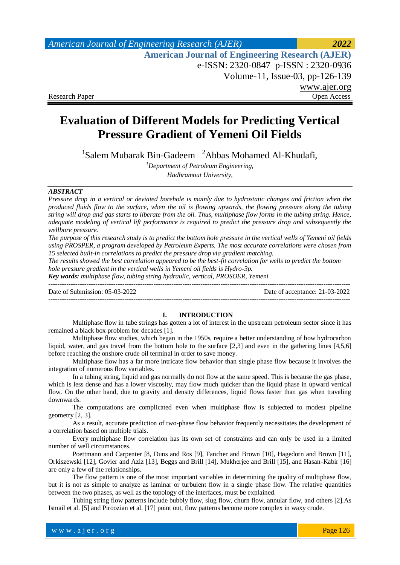# *American Journal of Engineering Research (AJER) 2022*  **American Journal of Engineering Research (AJER)** e-ISSN: 2320-0847 p-ISSN : 2320-0936 Volume-11, Issue-03, pp-126-139 www.ajer.org Research Paper Open Access

# **Evaluation of Different Models for Predicting Vertical Pressure Gradient of Yemeni Oil Fields**

<sup>1</sup>Salem Mubarak Bin-Gadeem <sup>2</sup>Abbas Mohamed Al-Khudafi,

*<sup>1</sup>Department of Petroleum Engineering, Hadhramout University,*

## *ABSTRACT*

*Pressure drop in a vertical or deviated borehole is mainly due to hydrostatic changes and friction when the produced fluids flow to the surface, when the oil is flowing upwards, the flowing pressure along the tubing string will drop and gas starts to liberate from the oil. Thus, multiphase flow forms in the tubing string. Hence, adequate modeling of vertical lift performance is required to predict the pressure drop and subsequently the wellbore pressure.*

*The purpose of this research study is to predict the bottom hole pressure in the vertical wells of Yemeni oil fields using PROSPER, a program developed by Petroleum Experts. The most accurate correlations were chosen from 15 selected built-in correlations to predict the pressure drop via gradient matching.*

*The results showed the best correlation appeared to be the best-fit correlation for wells to predict the bottom hole pressure gradient in the vertical wells in Yemeni oil fields is Hydro-3p.*

*Key words: multiphase flow, tubing string hydraulic, vertical, PROSOER, Yemeni*

--------------------------------------------------------------------------------------------------------------------------------------- Date of Submission: 05-03-2022 Date of acceptance: 21-03-2022 ---------------------------------------------------------------------------------------------------------------------------------------

### **I. INTRODUCTION**

Multiphase flow in tube strings has gotten a lot of interest in the upstream petroleum sector since it has remained a black box problem for decades [1].

Multiphase flow studies, which began in the 1950s, require a better understanding of how hydrocarbon liquid, water, and gas travel from the bottom hole to the surface [2,3] and even in the gathering lines [4,5,6] before reaching the onshore crude oil terminal in order to save money.

Multiphase flow has a far more intricate flow behavior than single phase flow because it involves the integration of numerous flow variables.

In a tubing string, liquid and gas normally do not flow at the same speed. This is because the gas phase, which is less dense and has a lower viscosity, may flow much quicker than the liquid phase in upward vertical flow. On the other hand, due to gravity and density differences, liquid flows faster than gas when traveling downwards.

The computations are complicated even when multiphase flow is subjected to modest pipeline geometry [2, 3].

As a result, accurate prediction of two-phase flow behavior frequently necessitates the development of a correlation based on multiple trials.

Every multiphase flow correlation has its own set of constraints and can only be used in a limited number of well circumstances.

Poettmann and Carpenter [8, Duns and Ros [9], Fancher and Brown [10], Hagedorn and Brown [11], Orkiszewski [12], Govier and Aziz [13], Beggs and Brill [14], Mukherjee and Brill [15], and Hasan-Kabir [16] are only a few of the relationships.

The flow pattern is one of the most important variables in determining the quality of multiphase flow, but it is not as simple to analyze as laminar or turbulent flow in a single phase flow. The relative quantities between the two phases, as well as the topology of the interfaces, must be explained.

Tubing string flow patterns include bubbly flow, slug flow, churn flow, annular flow, and others [2].As Ismail et al. [5] and Piroozian et al. [17] point out, flow patterns become more complex in waxy crude.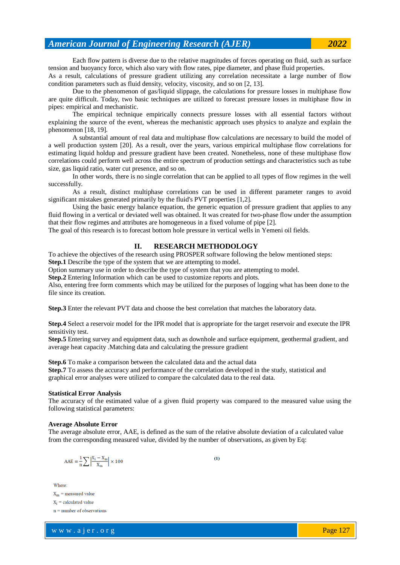Each flow pattern is diverse due to the relative magnitudes of forces operating on fluid, such as surface tension and buoyancy force, which also vary with flow rates, pipe diameter, and phase fluid properties.

As a result, calculations of pressure gradient utilizing any correlation necessitate a large number of flow condition parameters such as fluid density, velocity, viscosity, and so on [2, 13].

Due to the phenomenon of gas/liquid slippage, the calculations for pressure losses in multiphase flow are quite difficult. Today, two basic techniques are utilized to forecast pressure losses in multiphase flow in pipes: empirical and mechanistic.

The empirical technique empirically connects pressure losses with all essential factors without explaining the source of the event, whereas the mechanistic approach uses physics to analyze and explain the phenomenon [18, 19].

A substantial amount of real data and multiphase flow calculations are necessary to build the model of a well production system [20]. As a result, over the years, various empirical multiphase flow correlations for estimating liquid holdup and pressure gradient have been created. Nonetheless, none of these multiphase flow correlations could perform well across the entire spectrum of production settings and characteristics such as tube size, gas liquid ratio, water cut presence, and so on.

In other words, there is no single correlation that can be applied to all types of flow regimes in the well successfully.

As a result, distinct multiphase correlations can be used in different parameter ranges to avoid significant mistakes generated primarily by the fluid's PVT properties [1,2].

Using the basic energy balance equation, the generic equation of pressure gradient that applies to any fluid flowing in a vertical or deviated well was obtained. It was created for two-phase flow under the assumption that their flow regimes and attributes are homogeneous in a fixed volume of pipe [2].

The goal of this research is to forecast bottom hole pressure in vertical wells in Yemeni oil fields.

### **II. RESEARCH METHODOLOGY**

To achieve the objectives of the research using PROSPER software following the below mentioned steps:

**Step.1** Describe the type of the system that we are attempting to model.

Option summary use in order to describe the type of system that you are attempting to model.

**Step.2** Entering Information which can be used to customize reports and plots.

Also, entering free form comments which may be utilized for the purposes of logging what has been done to the file since its creation.

**Step.3** Enter the relevant PVT data and choose the best correlation that matches the laboratory data.

**Step.4** Select a reservoir model for the IPR model that is appropriate for the target reservoir and execute the IPR sensitivity test.

**Step.5** Entering survey and equipment data, such as downhole and surface equipment, geothermal gradient, and average heat capacity .Matching data and calculating the pressure gradient

**Step.6** To make a comparison between the calculated data and the actual data

**Step.7** To assess the accuracy and performance of the correlation developed in the study, statistical and graphical error analyses were utilized to compare the calculated data to the real data.

#### **Statistical Error Analysis**

The accuracy of the estimated value of a given fluid property was compared to the measured value using the following statistical parameters:

### **Average Absolute Error**

The average absolute error, AAE, is defined as the sum of the relative absolute deviation of a calculated value from the corresponding measured value, divided by the number of observations, as given by Eq:

 $(1)$ 

$$
AAE = \frac{1}{n} \sum \left| \frac{X_i - X_m}{X_m} \right| \times 100
$$

Where:

 $X_m$  = measured value

 $X_i$  = calculated value

 $n =$  number of observations

w w w . a j e r . o r g where  $\mathcal{L} = \mathcal{L} \left( \mathcal{L} \right)$  is the set of  $\mathcal{L} \left( \mathcal{L} \right)$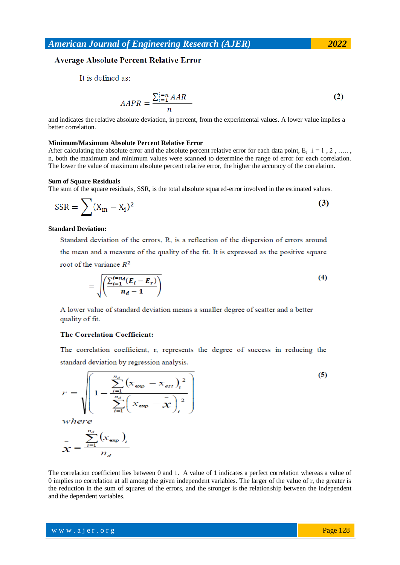### **Average Absolute Percent Relative Error**

It is defined as:

$$
AAPR = \frac{\sum_{i=1}^{i=n} AAR}{n}
$$
 (2)

and indicates the relative absolute deviation, in percent, from the experimental values. A lower value implies a better correlation.

### **Minimum/Maximum Absolute Percent Relative Error**

After calculating the absolute error and the absolute percent relative error for each data point,  $E_i$  .i = 1, 2, ….. n, both the maximum and minimum values were scanned to determine the range of error for each correlation. The lower the value of maximum absolute percent relative error, the higher the accuracy of the correlation.

### **Sum of Square Residuals**

The sum of the square residuals, SSR, is the total absolute squared-error involved in the estimated values.

$$
SSR = \sum (X_m - X_i)^2
$$
 (3)

### **Standard Deviation:**

Standard deviation of the errors, R, is a reflection of the dispersion of errors around the mean and a measure of the quality of the fit. It is expressed as the positive square root of the variance  $R^2$ 

$$
=\sqrt{\frac{\left(\sum_{i=1}^{i=n} (E_i - E_r)\right)}{n_d - 1}}
$$
\n(4)

A lower value of standard deviation means a smaller degree of scatter and a better quality of fit.

### **The Correlation Coefficient:**

The correlation coefficient, r, represents the degree of success in reducing the standard deviation by regression analysis.

$$
r = \sqrt{\left(1 - \frac{\sum_{i=1}^{n_d} (x_{\exp} - x_{\exp})_i^2}{\sum_{i=1}^{n_d} (x_{\exp} - \overline{x})_i^2}\right)}
$$
(5)  
where  

$$
\overline{x} = \frac{\sum_{i=1}^{n_d} (x_{\exp})_i}{n_d}
$$

The correlation coefficient lies between 0 and 1. A value of 1 indicates a perfect correlation whereas a value of 0 implies no correlation at all among the given independent variables. The larger of the value of r, the greater is the reduction in the sum of squares of the errors, and the stronger is the relationship between the independent and the dependent variables.

w w w . a j e r . o r g where  $\mathcal{L} = \mathcal{L} \left( \mathcal{L} \right)$  is the set of  $\mathcal{L} \left( \mathcal{L} \right)$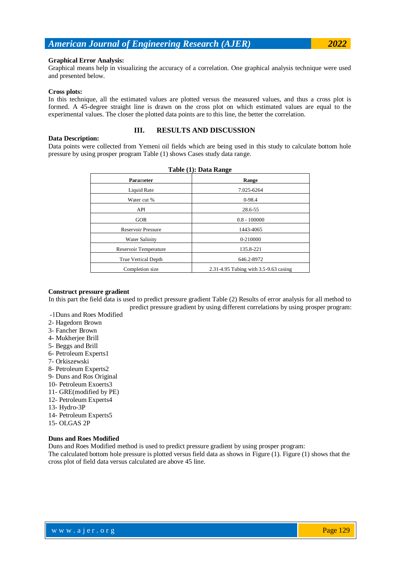### **Graphical Error Analysis:**

Graphical means help in visualizing the accuracy of a correlation. One graphical analysis technique were used and presented below.

#### **Cross plots:**

In this technique, all the estimated values are plotted versus the measured values, and thus a cross plot is formed. A 45-degree straight line is drawn on the cross plot on which estimated values are equal to the experimental values. The closer the plotted data points are to this line, the better the correlation.

### **Data Description:**

### **III. RESULTS AND DISCUSSION**

Data points were collected from Yemeni oil fields which are being used in this study to calculate bottom hole pressure by using prosper program Table (1) shows Cases study data range.

| Table (1): Data Range |                                       |  |  |  |
|-----------------------|---------------------------------------|--|--|--|
| Parameter             | Range                                 |  |  |  |
| Liquid Rate           | 7.025-6264                            |  |  |  |
| Water cut %           | $0-98.4$                              |  |  |  |
| API                   | 28.6-55                               |  |  |  |
| <b>GOR</b>            | $0.8 - 100000$                        |  |  |  |
| Reservoir Pressure    | 1443-4065                             |  |  |  |
| Water Salinity        | 0-210000                              |  |  |  |
| Reservoir Temperature | 135.8-221                             |  |  |  |
| True Vertical Depth   | 646.2-8972                            |  |  |  |
| Completion size       | 2.31-4.95 Tubing with 3.5-9.63 casing |  |  |  |

#### **Construct pressure gradient**

In this part the field data is used to predict pressure gradient Table (2) Results of error analysis for all method to predict pressure gradient by using different correlations by using prosper program:

- -1Duns and Roes Modified
- 2- Hagedorn Brown
- 3- Fancher Brown
- 4- Mukherjee Brill
- 5- Beggs and Brill
- 6- Petroleum Experts1
- 7- Orkiszewski
- 8- Petroleum Experts2
- 9- Duns and Ros Original
- 10- Petroleum Exoerts3
- 11- GRE(modified by PE)
- 12- Petroleum Experts4
- 13- Hydro-3P
- 14- Petroleum Experts5
- 15- OLGAS 2P

### **Duns and Roes Modified**

Duns and Roes Modified method is used to predict pressure gradient by using prosper program:

The calculated bottom hole pressure is plotted versus field data as shows in Figure (1). Figure (1) shows that the cross plot of field data versus calculated are above 45 line.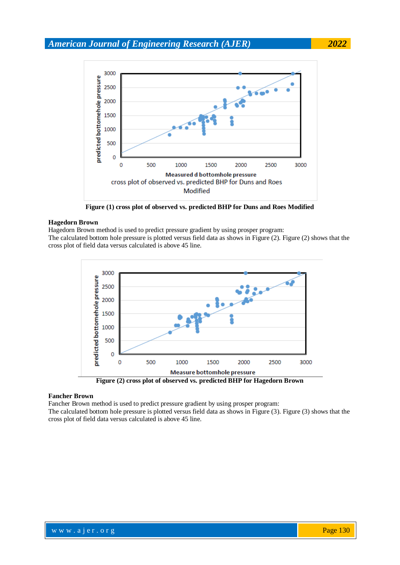

**Figure (1) cross plot of observed vs. predicted BHP for Duns and Roes Modified**

### **Hagedorn Brown**

Hagedorn Brown method is used to predict pressure gradient by using prosper program:

The calculated bottom hole pressure is plotted versus field data as shows in Figure (2). Figure (2) shows that the cross plot of field data versus calculated is above 45 line.





### **Fancher Brown**

Fancher Brown method is used to predict pressure gradient by using prosper program:

The calculated bottom hole pressure is plotted versus field data as shows in Figure (3). Figure (3) shows that the cross plot of field data versus calculated is above 45 line.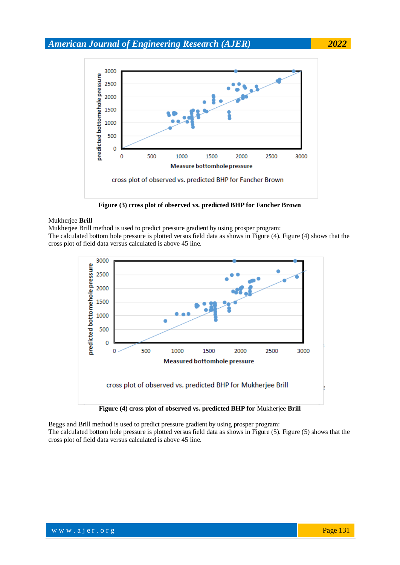

**Figure (3) cross plot of observed vs. predicted BHP for Fancher Brown**

### Mukherjee **Brill**

Mukherjee Brill method is used to predict pressure gradient by using prosper program:

The calculated bottom hole pressure is plotted versus field data as shows in Figure (4). Figure (4) shows that the cross plot of field data versus calculated is above 45 line.



Beggs and Brill method is used to predict pressure gradient by using prosper program:

The calculated bottom hole pressure is plotted versus field data as shows in Figure (5). Figure (5) shows that the cross plot of field data versus calculated is above 45 line.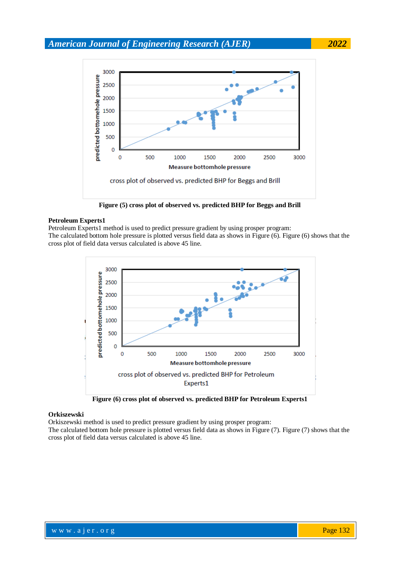

**Figure (5) cross plot of observed vs. predicted BHP for Beggs and Brill**

### **Petroleum Experts1**

Petroleum Experts1 method is used to predict pressure gradient by using prosper program: The calculated bottom hole pressure is plotted versus field data as shows in Figure (6). Figure (6) shows that the cross plot of field data versus calculated is above 45 line.



**Figure (6) cross plot of observed vs. predicted BHP for Petroleum Experts1**

### **Orkiszewski**

Orkiszewski method is used to predict pressure gradient by using prosper program:

The calculated bottom hole pressure is plotted versus field data as shows in Figure (7). Figure (7) shows that the cross plot of field data versus calculated is above 45 line.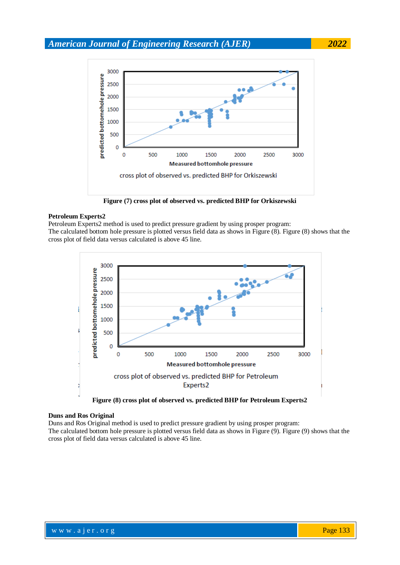

**Figure (7) cross plot of observed vs. predicted BHP for Orkiszewski**

### **Petroleum Experts2**

Petroleum Experts2 method is used to predict pressure gradient by using prosper program: The calculated bottom hole pressure is plotted versus field data as shows in Figure (8). Figure (8) shows that the cross plot of field data versus calculated is above 45 line.



### **Duns and Ros Original**

Duns and Ros Original method is used to predict pressure gradient by using prosper program: The calculated bottom hole pressure is plotted versus field data as shows in Figure (9). Figure (9) shows that the cross plot of field data versus calculated is above 45 line.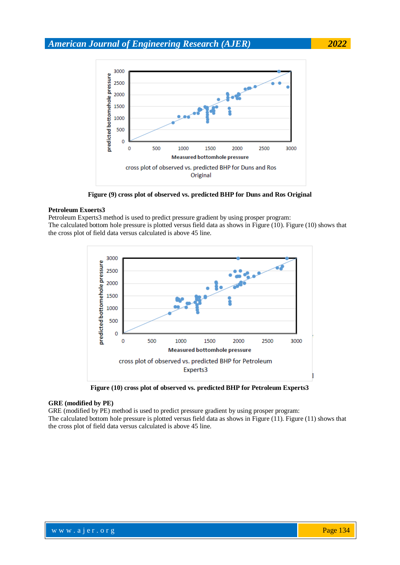

**Figure (9) cross plot of observed vs. predicted BHP for Duns and Ros Original**

### **Petroleum Exoerts3**

Petroleum Experts3 method is used to predict pressure gradient by using prosper program: The calculated bottom hole pressure is plotted versus field data as shows in Figure (10). Figure (10) shows that the cross plot of field data versus calculated is above 45 line.



**Figure (10) cross plot of observed vs. predicted BHP for Petroleum Experts3**

### **GRE (modified by PE)**

GRE (modified by PE) method is used to predict pressure gradient by using prosper program: The calculated bottom hole pressure is plotted versus field data as shows in Figure (11). Figure (11) shows that the cross plot of field data versus calculated is above 45 line.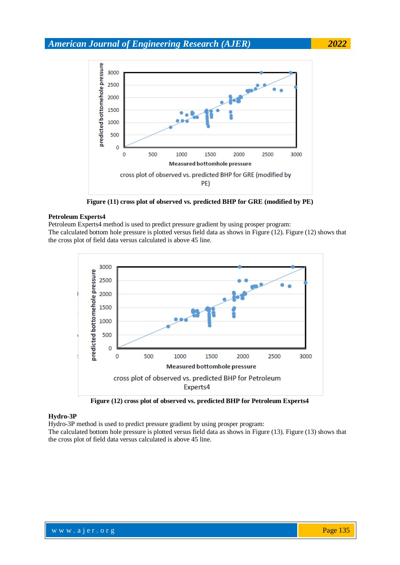

**Figure (11) cross plot of observed vs. predicted BHP for GRE (modified by PE)**

### **Petroleum Experts4**

Petroleum Experts4 method is used to predict pressure gradient by using prosper program: The calculated bottom hole pressure is plotted versus field data as shows in Figure (12). Figure (12) shows that the cross plot of field data versus calculated is above 45 line.



**Figure (12) cross plot of observed vs. predicted BHP for Petroleum Experts4**

### **Hydro-3P**

Hydro-3P method is used to predict pressure gradient by using prosper program:

The calculated bottom hole pressure is plotted versus field data as shows in Figure (13). Figure (13) shows that the cross plot of field data versus calculated is above 45 line.

where  $\mathcal{L} = \mathcal{L} \left( \mathcal{L} \right)$  is the set of  $\mathcal{L} \left( \mathcal{L} \right)$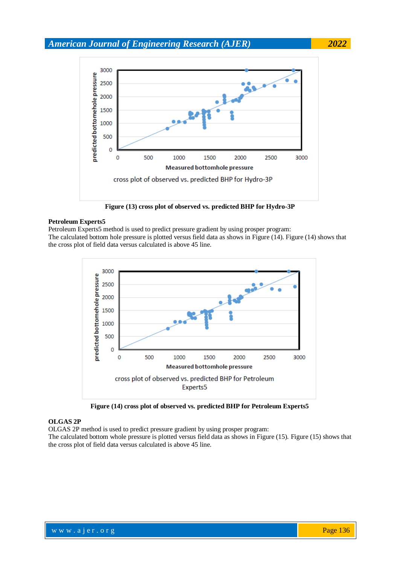

**Figure (13) cross plot of observed vs. predicted BHP for Hydro-3P**

### **Petroleum Experts5**

Petroleum Experts5 method is used to predict pressure gradient by using prosper program: The calculated bottom hole pressure is plotted versus field data as shows in Figure (14). Figure (14) shows that the cross plot of field data versus calculated is above 45 line.



**Figure (14) cross plot of observed vs. predicted BHP for Petroleum Experts5**

### **OLGAS 2P**

OLGAS 2P method is used to predict pressure gradient by using prosper program:

The calculated bottom whole pressure is plotted versus field data as shows in Figure (15). Figure (15) shows that the cross plot of field data versus calculated is above 45 line.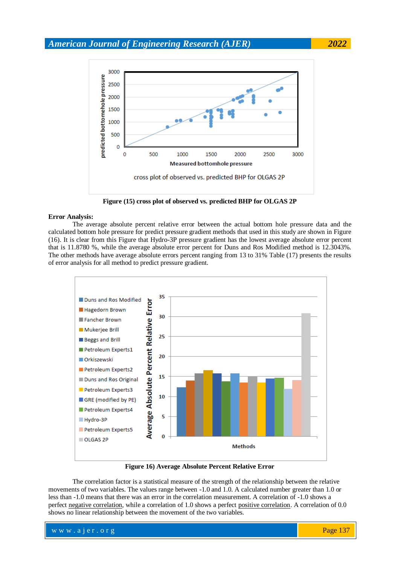

**Figure (15) cross plot of observed vs. predicted BHP for OLGAS 2P**

### **Error Analysis:**

The average absolute percent relative error between the actual bottom hole pressure data and the calculated bottom hole pressure for predict pressure gradient methods that used in this study are shown in Figure (16). It is clear from this Figure that Hydro-3P pressure gradient has the lowest average absolute error percent that is 11.8780 %, while the average absolute error percent for Duns and Ros Modified method is 12.3043%. The other methods have average absolute errors percent ranging from 13 to 31% Table (17) presents the results of error analysis for all method to predict pressure gradient.



**Figure 16) Average Absolute Percent Relative Error**

The correlation factor is a statistical measure of the strength of the relationship between the relative movements of two variables. The values range between -1.0 and 1.0. A calculated number greater than 1.0 or less than -1.0 means that there was an error in the correlation measurement. A correlation of -1.0 shows a perfect [negative correlation,](https://www.investopedia.com/terms/n/negative-correlation.asp) while a correlation of 1.0 shows a perfect [positive correlation.](https://www.investopedia.com/terms/p/positive-correlation.asp) A correlation of 0.0 shows no linear relationship between the movement of the two variables.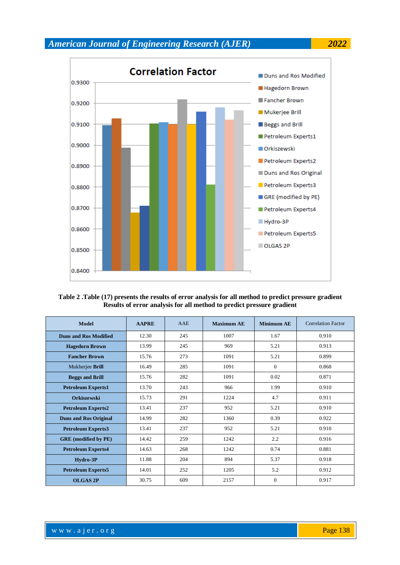

### **Table 2 .Table (17) presents the results of error analysis for all method to predict pressure gradient Results of error analysis for all method to predict pressure gradient**

| Model                        | <b>AAPRE</b> | AAE | <b>Maximum AE</b> | <b>Minimum AE</b> | <b>Correlation Factor</b> |
|------------------------------|--------------|-----|-------------------|-------------------|---------------------------|
| <b>Duns and Ros Modified</b> | 12.30        | 245 | 1007              | 1.67              | 0.910                     |
| <b>Hagedorn Brown</b>        | 13.99        | 245 | 969               | 5.21              | 0.913                     |
| <b>Fancher Brown</b>         | 15.76        | 273 | 1091              | 5.21              | 0.899                     |
| Mukherjee Brill              | 16.49        | 285 | 1091              | $\theta$          | 0.868                     |
| <b>Beggs and Brill</b>       | 15.76        | 282 | 1091              | 0.02              | 0.871                     |
| <b>Petroleum Experts1</b>    | 13.70        | 243 | 966               | 1.99              | 0.910                     |
| <b>Orkiszewski</b>           | 15.73        | 291 | 1224              | 4.7               | 0.911                     |
| <b>Petroleum Experts2</b>    | 13.41        | 237 | 952               | 5.21              | 0.910                     |
| <b>Duns and Ros Original</b> | 14.99        | 282 | 1360              | 0.39              | 0.922                     |
| <b>Petroleum Experts3</b>    | 13.41        | 237 | 952               | 5.21              | 0.910                     |
| <b>GRE</b> (modified by PE)  | 14.42        | 259 | 1242              | 2.2               | 0.916                     |
| <b>Petroleum Experts4</b>    | 14.63        | 268 | 1242              | 0.74              | 0.881                     |
| Hydro-3P                     | 11.88        | 204 | 894               | 5.37              | 0.918                     |
| <b>Petroleum Experts5</b>    | 14.01        | 252 | 1205              | 5.2               | 0.912                     |
| <b>OLGAS 2P</b>              | 30.75        | 609 | 2157              | $\mathbf{0}$      | 0.917                     |